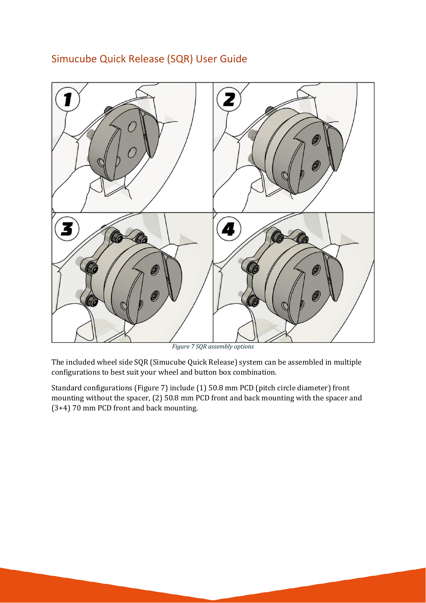

## Simucube Quick Release (SQR) User Guide

*Figure 7 SQR assembly options*

The included wheel side SQR (Simucube Quick Release) system can be assembled in multiple configurations to best suit your wheel and button box combination.

Standard configurations (Figure 7) include (1) 50.8 mm PCD (pitch circle diameter) front mounting without the spacer, (2) 50.8 mm PCD front and back mounting with the spacer and (3+4) 70 mm PCD front and back mounting.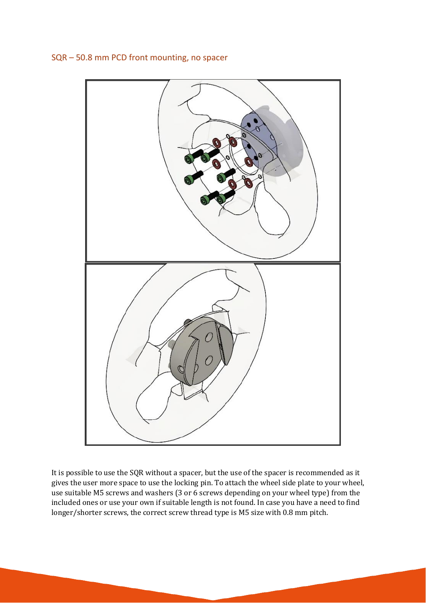

## SQR – 50.8 mm PCD front mounting, no spacer

It is possible to use the SQR without a spacer, but the use of the spacer is recommended as it gives the user more space to use the locking pin. To attach the wheel side plate to your wheel, use suitable M5 screws and washers (3 or 6 screws depending on your wheel type) from the included ones or use your own if suitable length is not found. In case you have a need to find longer/shorter screws, the correct screw thread type is M5 size with 0.8 mm pitch.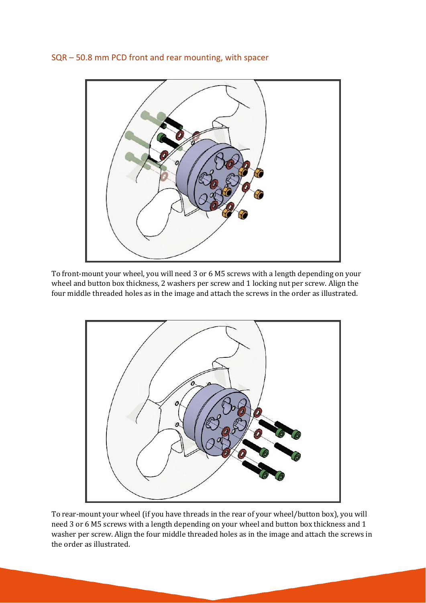SQR – 50.8 mm PCD front and rear mounting, with spacer



To front-mount your wheel, you will need 3 or 6 M5 screws with a length depending on your wheel and button box thickness, 2 washers per screw and 1 locking nut per screw. Align the four middle threaded holes as in the image and attach the screws in the order as illustrated.



To rear-mount your wheel (if you have threads in the rear of your wheel/button box), you will need 3 or 6 M5 screws with a length depending on your wheel and button box thickness and 1 washer per screw. Align the four middle threaded holes as in the image and attach the screws in the order as illustrated.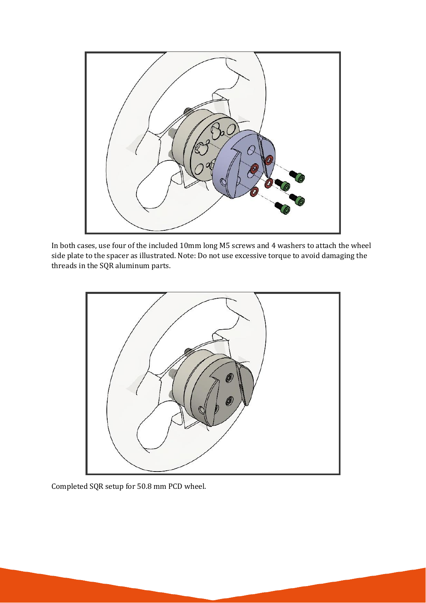

In both cases, use four of the included 10mm long M5 screws and 4 washers to attach the wheel side plate to the spacer as illustrated. Note: Do not use excessive torque to avoid damaging the threads in the SQR aluminum parts.



Completed SQR setup for 50.8 mm PCD wheel.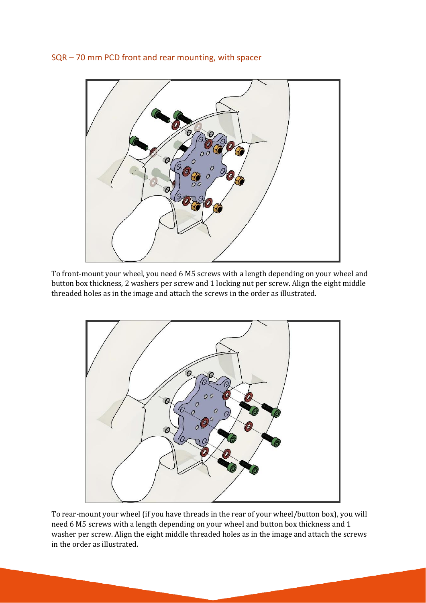## SQR – 70 mm PCD front and rear mounting, with spacer



To front-mount your wheel, you need 6 M5 screws with a length depending on your wheel and button box thickness, 2 washers per screw and 1 locking nut per screw. Align the eight middle threaded holes as in the image and attach the screws in the order as illustrated.



To rear-mount your wheel (if you have threads in the rear of your wheel/button box), you will need 6 M5 screws with a length depending on your wheel and button box thickness and 1 washer per screw. Align the eight middle threaded holes as in the image and attach the screws in the order as illustrated.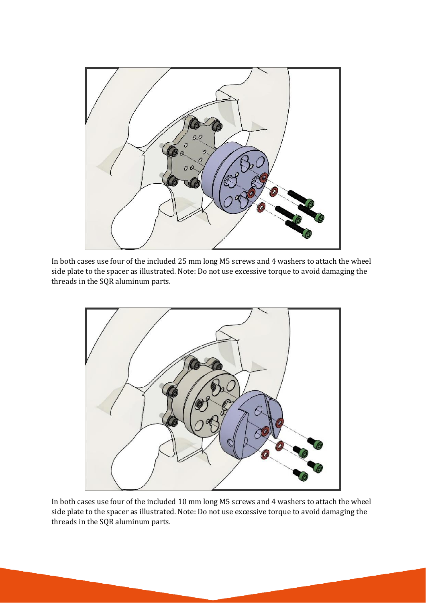

In both cases use four of the included 25 mm long M5 screws and 4 washers to attach the wheel side plate to the spacer as illustrated. Note: Do not use excessive torque to avoid damaging the threads in the SQR aluminum parts.



In both cases use four of the included 10 mm long M5 screws and 4 washers to attach the wheel side plate to the spacer as illustrated. Note: Do not use excessive torque to avoid damaging the threads in the SQR aluminum parts.